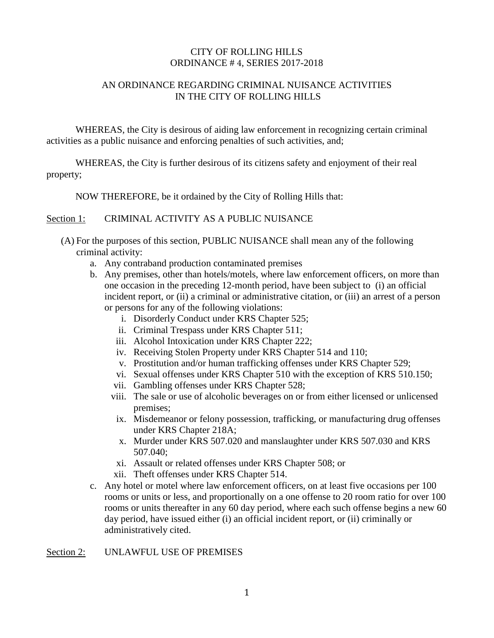## CITY OF ROLLING HILLS ORDINANCE # 4, SERIES 2017-2018

# AN ORDINANCE REGARDING CRIMINAL NUISANCE ACTIVITIES IN THE CITY OF ROLLING HILLS

WHEREAS, the City is desirous of aiding law enforcement in recognizing certain criminal activities as a public nuisance and enforcing penalties of such activities, and;

WHEREAS, the City is further desirous of its citizens safety and enjoyment of their real property;

NOW THEREFORE, be it ordained by the City of Rolling Hills that:

## Section 1: CRIMINAL ACTIVITY AS A PUBLIC NUISANCE

- (A) For the purposes of this section, PUBLIC NUISANCE shall mean any of the following criminal activity:
	- a. Any contraband production contaminated premises
	- b. Any premises, other than hotels/motels, where law enforcement officers, on more than one occasion in the preceding 12-month period, have been subject to (i) an official incident report, or (ii) a criminal or administrative citation, or (iii) an arrest of a person or persons for any of the following violations:
		- i. Disorderly Conduct under KRS Chapter 525;
		- ii. Criminal Trespass under KRS Chapter 511;
		- iii. Alcohol Intoxication under KRS Chapter 222;
		- iv. Receiving Stolen Property under KRS Chapter 514 and 110;
		- v. Prostitution and/or human trafficking offenses under KRS Chapter 529;
		- vi. Sexual offenses under KRS Chapter 510 with the exception of KRS 510.150;
		- vii. Gambling offenses under KRS Chapter 528;
		- viii. The sale or use of alcoholic beverages on or from either licensed or unlicensed premises;
		- ix. Misdemeanor or felony possession, trafficking, or manufacturing drug offenses under KRS Chapter 218A;
		- x. Murder under KRS 507.020 and manslaughter under KRS 507.030 and KRS 507.040;
		- xi. Assault or related offenses under KRS Chapter 508; or
		- xii. Theft offenses under KRS Chapter 514.
	- c. Any hotel or motel where law enforcement officers, on at least five occasions per 100 rooms or units or less, and proportionally on a one offense to 20 room ratio for over 100 rooms or units thereafter in any 60 day period, where each such offense begins a new 60 day period, have issued either (i) an official incident report, or (ii) criminally or administratively cited.

#### Section 2: UNLAWFUL USE OF PREMISES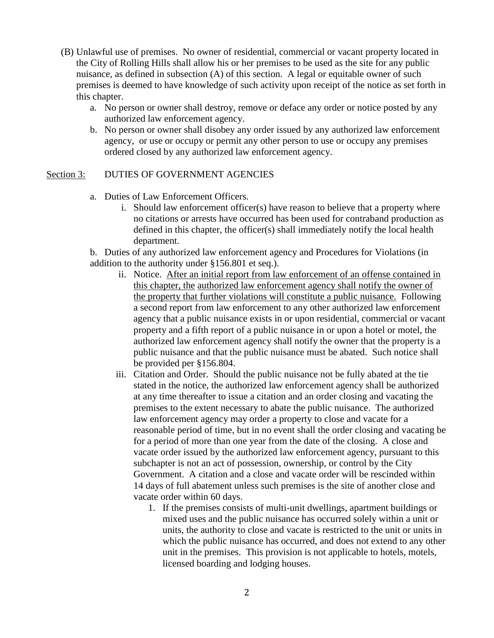- (B) Unlawful use of premises. No owner of residential, commercial or vacant property located in the City of Rolling Hills shall allow his or her premises to be used as the site for any public nuisance, as defined in subsection (A) of this section. A legal or equitable owner of such premises is deemed to have knowledge of such activity upon receipt of the notice as set forth in this chapter.
	- a. No person or owner shall destroy, remove or deface any order or notice posted by any authorized law enforcement agency.
	- b. No person or owner shall disobey any order issued by any authorized law enforcement agency, or use or occupy or permit any other person to use or occupy any premises ordered closed by any authorized law enforcement agency.

## Section 3: DUTIES OF GOVERNMENT AGENCIES

- a. Duties of Law Enforcement Officers*.* 
	- i. Should law enforcement officer(s) have reason to believe that a property where no citations or arrests have occurred has been used for contraband production as defined in this chapter, the officer(s) shall immediately notify the local health department.

b. Duties of any authorized law enforcement agency and Procedures for Violations (in addition to the authority under §156.801 et seq.).

- ii. Notice. After an initial report from law enforcement of an offense contained in this chapter, the authorized law enforcement agency shall notify the owner of the property that further violations will constitute a public nuisance. Following a second report from law enforcement to any other authorized law enforcement agency that a public nuisance exists in or upon residential, commercial or vacant property and a fifth report of a public nuisance in or upon a hotel or motel, the authorized law enforcement agency shall notify the owner that the property is a public nuisance and that the public nuisance must be abated. Such notice shall be provided per §156.804.
- iii. Citation and Order. Should the public nuisance not be fully abated at the tie stated in the notice, the authorized law enforcement agency shall be authorized at any time thereafter to issue a citation and an order closing and vacating the premises to the extent necessary to abate the public nuisance. The authorized law enforcement agency may order a property to close and vacate for a reasonable period of time, but in no event shall the order closing and vacating be for a period of more than one year from the date of the closing. A close and vacate order issued by the authorized law enforcement agency, pursuant to this subchapter is not an act of possession, ownership, or control by the City Government. A citation and a close and vacate order will be rescinded within 14 days of full abatement unless such premises is the site of another close and vacate order within 60 days.
	- 1. If the premises consists of multi-unit dwellings, apartment buildings or mixed uses and the public nuisance has occurred solely within a unit or units, the authority to close and vacate is restricted to the unit or units in which the public nuisance has occurred, and does not extend to any other unit in the premises. This provision is not applicable to hotels, motels, licensed boarding and lodging houses.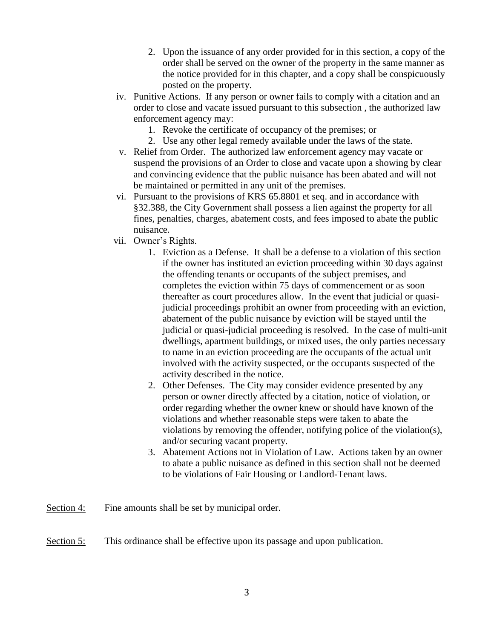- 2. Upon the issuance of any order provided for in this section, a copy of the order shall be served on the owner of the property in the same manner as the notice provided for in this chapter, and a copy shall be conspicuously posted on the property.
- iv. Punitive Actions. If any person or owner fails to comply with a citation and an order to close and vacate issued pursuant to this subsection , the authorized law enforcement agency may:
	- 1. Revoke the certificate of occupancy of the premises; or
	- 2. Use any other legal remedy available under the laws of the state.
- v. Relief from Order. The authorized law enforcement agency may vacate or suspend the provisions of an Order to close and vacate upon a showing by clear and convincing evidence that the public nuisance has been abated and will not be maintained or permitted in any unit of the premises.
- vi. Pursuant to the provisions of KRS 65.8801 et seq. and in accordance with §32.388, the City Government shall possess a lien against the property for all fines, penalties, charges, abatement costs, and fees imposed to abate the public nuisance.
- vii. Owner's Rights.
	- 1. Eviction as a Defense. It shall be a defense to a violation of this section if the owner has instituted an eviction proceeding within 30 days against the offending tenants or occupants of the subject premises, and completes the eviction within 75 days of commencement or as soon thereafter as court procedures allow. In the event that judicial or quasijudicial proceedings prohibit an owner from proceeding with an eviction, abatement of the public nuisance by eviction will be stayed until the judicial or quasi-judicial proceeding is resolved. In the case of multi-unit dwellings, apartment buildings, or mixed uses, the only parties necessary to name in an eviction proceeding are the occupants of the actual unit involved with the activity suspected, or the occupants suspected of the activity described in the notice.
	- 2. Other Defenses. The City may consider evidence presented by any person or owner directly affected by a citation, notice of violation, or order regarding whether the owner knew or should have known of the violations and whether reasonable steps were taken to abate the violations by removing the offender, notifying police of the violation(s), and/or securing vacant property.
	- 3. Abatement Actions not in Violation of Law. Actions taken by an owner to abate a public nuisance as defined in this section shall not be deemed to be violations of Fair Housing or Landlord-Tenant laws.
- Section 4: Fine amounts shall be set by municipal order.
- Section 5: This ordinance shall be effective upon its passage and upon publication.